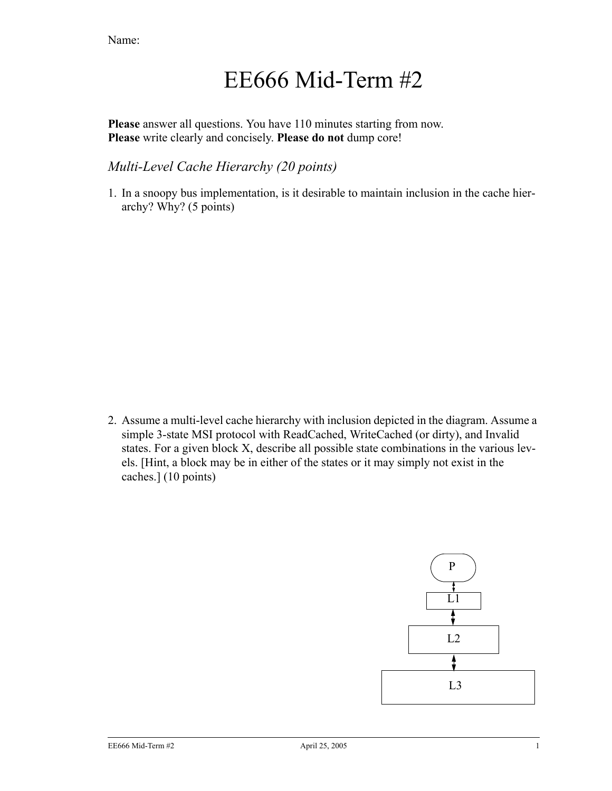# EE666 Mid-Term #2

**Please** answer all questions. You have 110 minutes starting from now. **Please** write clearly and concisely. **Please do not** dump core!

### *Multi-Level Cache Hierarchy (20 points)*

1. In a snoopy bus implementation, is it desirable to maintain inclusion in the cache hierarchy? Why? (5 points)

2. Assume a multi-level cache hierarchy with inclusion depicted in the diagram. Assume a simple 3-state MSI protocol with ReadCached, WriteCached (or dirty), and Invalid states. For a given block X, describe all possible state combinations in the various levels. [Hint, a block may be in either of the states or it may simply not exist in the caches.] (10 points)

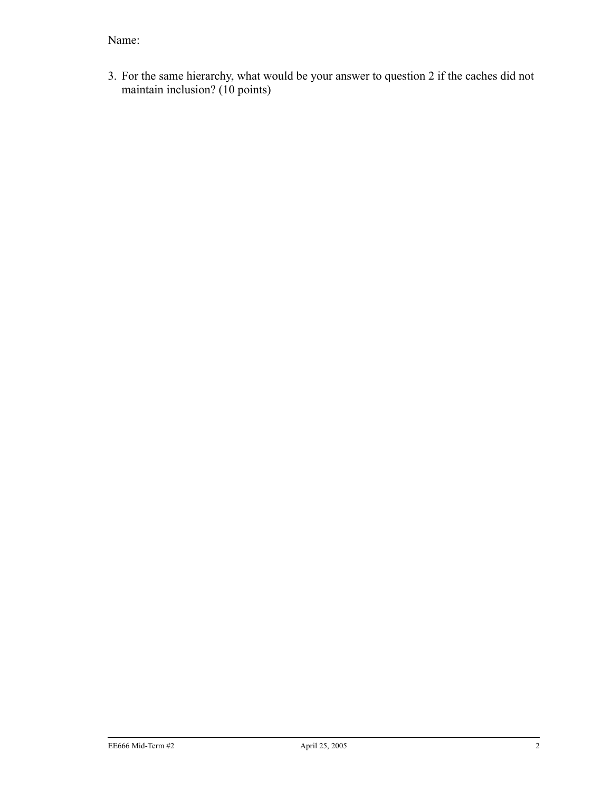3. For the same hierarchy, what would be your answer to question 2 if the caches did not maintain inclusion? (10 points)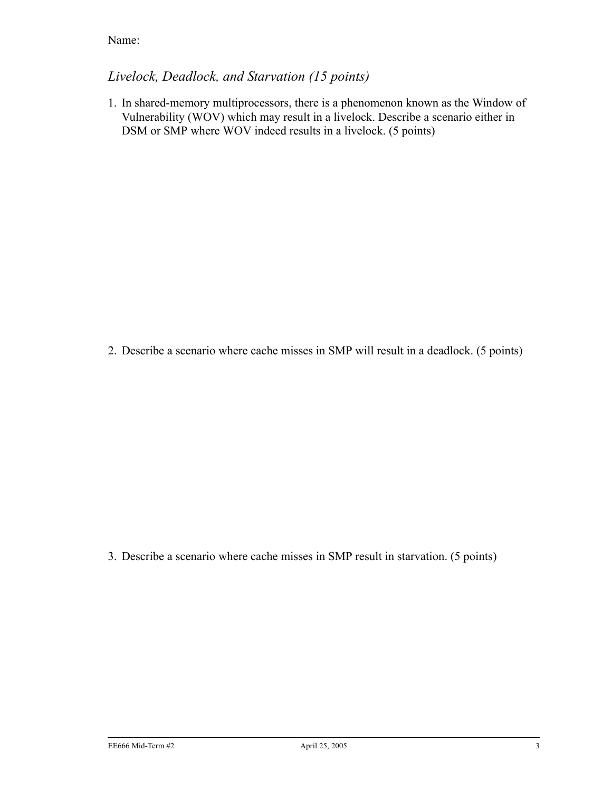## *Livelock, Deadlock, and Starvation (15 points)*

1. In shared-memory multiprocessors, there is a phenomenon known as the Window of Vulnerability (WOV) which may result in a livelock. Describe a scenario either in DSM or SMP where WOV indeed results in a livelock. (5 points)

2. Describe a scenario where cache misses in SMP will result in a deadlock. (5 points)

3. Describe a scenario where cache misses in SMP result in starvation. (5 points)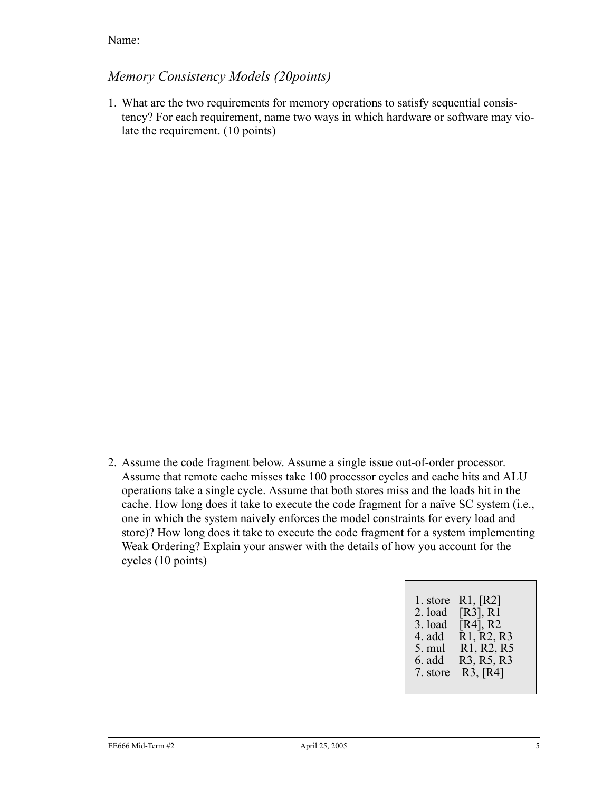### *Memory Consistency Models (20points)*

1. What are the two requirements for memory operations to satisfy sequential consistency? For each requirement, name two ways in which hardware or software may violate the requirement. (10 points)

2. Assume the code fragment below. Assume a single issue out-of-order processor. Assume that remote cache misses take 100 processor cycles and cache hits and ALU operations take a single cycle. Assume that both stores miss and the loads hit in the cache. How long does it take to execute the code fragment for a naïve SC system (i.e., one in which the system naively enforces the model constraints for every load and store)? How long does it take to execute the code fragment for a system implementing Weak Ordering? Explain your answer with the details of how you account for the cycles (10 points)

| 1. store        | R1, [R2]                                         |
|-----------------|--------------------------------------------------|
| 2. load         | [R3], R1                                         |
| $3.$ load       | $[R4]$ , R2                                      |
| 4. add          | R <sub>1</sub> , R <sub>2</sub> , R <sub>3</sub> |
| $5. \text{mul}$ | R <sub>1</sub> , R <sub>2</sub> , R <sub>5</sub> |
| 6. add          | R <sub>3</sub> , R <sub>5</sub> , R <sub>3</sub> |
| 7. store        | R3, [R4]                                         |
|                 |                                                  |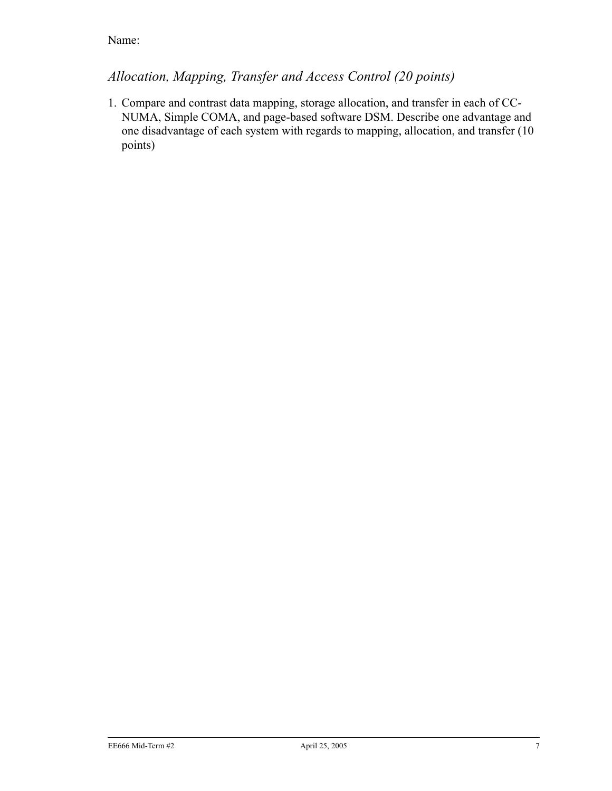# *Allocation, Mapping, Transfer and Access Control (20 points)*

1. Compare and contrast data mapping, storage allocation, and transfer in each of CC-NUMA, Simple COMA, and page-based software DSM. Describe one advantage and one disadvantage of each system with regards to mapping, allocation, and transfer (10 points)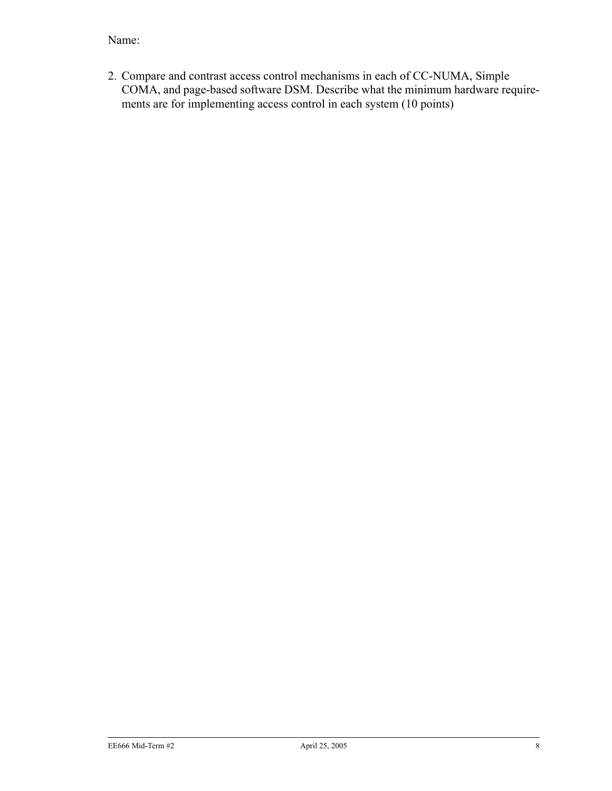2. Compare and contrast access control mechanisms in each of CC-NUMA, Simple COMA, and page-based software DSM. Describe what the minimum hardware requirements are for implementing access control in each system (10 points)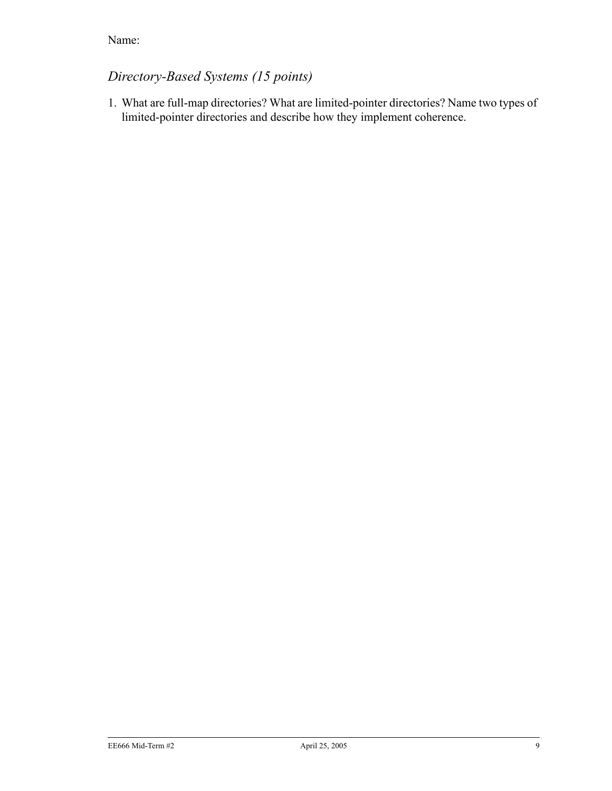# *Directory-Based Systems (15 points)*

1. What are full-map directories? What are limited-pointer directories? Name two types of limited-pointer directories and describe how they implement coherence.